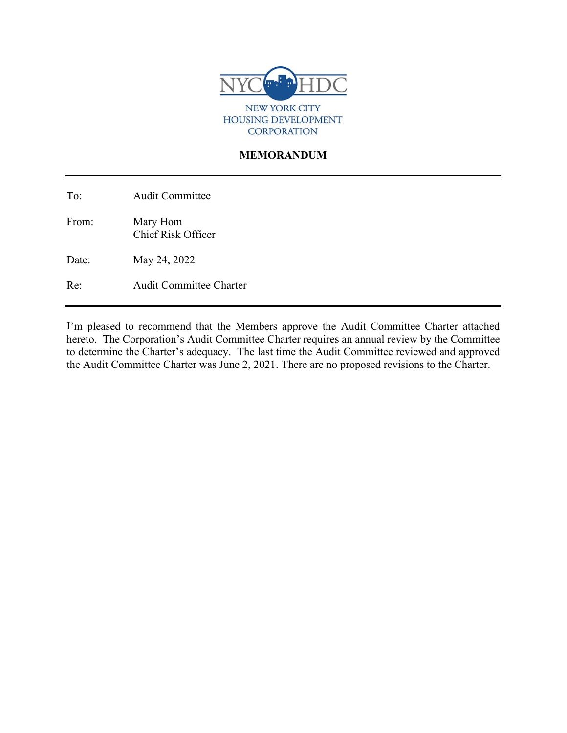

### **MEMORANDUM**

To: Audit Committee

From: Mary Hom Chief Risk Officer

Date: May 24, 2022

Re: Audit Committee Charter

I'm pleased to recommend that the Members approve the Audit Committee Charter attached hereto. The Corporation's Audit Committee Charter requires an annual review by the Committee to determine the Charter's adequacy. The last time the Audit Committee reviewed and approved the Audit Committee Charter was June 2, 2021. There are no proposed revisions to the Charter.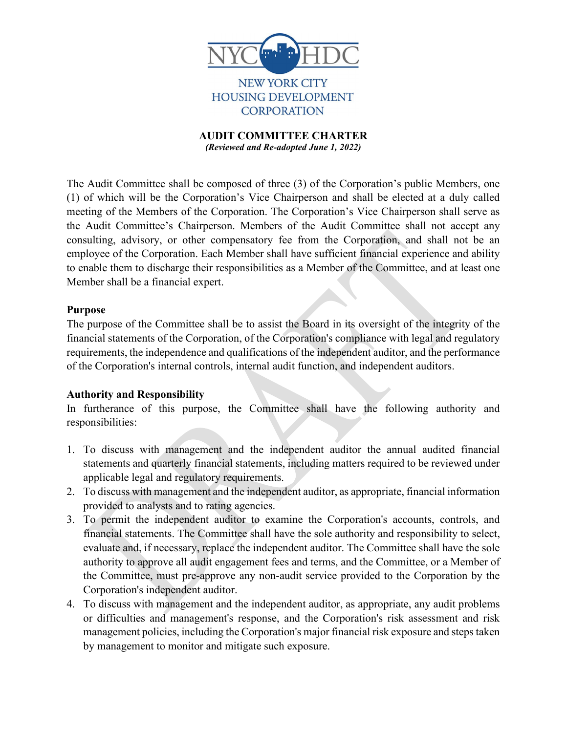

**NEW YORK CITY** HOUSING DEVELOPMENT **CORPORATION** 

**AUDIT COMMITTEE CHARTER** *(Reviewed and Re-adopted June 1, 2022)*

The Audit Committee shall be composed of three (3) of the Corporation's public Members, one (1) of which will be the Corporation's Vice Chairperson and shall be elected at a duly called meeting of the Members of the Corporation. The Corporation's Vice Chairperson shall serve as the Audit Committee's Chairperson. Members of the Audit Committee shall not accept any consulting, advisory, or other compensatory fee from the Corporation, and shall not be an employee of the Corporation. Each Member shall have sufficient financial experience and ability to enable them to discharge their responsibilities as a Member of the Committee, and at least one Member shall be a financial expert.

### **Purpose**

The purpose of the Committee shall be to assist the Board in its oversight of the integrity of the financial statements of the Corporation, of the Corporation's compliance with legal and regulatory requirements, the independence and qualifications of the independent auditor, and the performance of the Corporation's internal controls, internal audit function, and independent auditors.

### **Authority and Responsibility**

In furtherance of this purpose, the Committee shall have the following authority and responsibilities:

- 1. To discuss with management and the independent auditor the annual audited financial statements and quarterly financial statements, including matters required to be reviewed under applicable legal and regulatory requirements.
- 2. To discuss with management and the independent auditor, as appropriate, financial information provided to analysts and to rating agencies.
- 3. To permit the independent auditor to examine the Corporation's accounts, controls, and financial statements. The Committee shall have the sole authority and responsibility to select, evaluate and, if necessary, replace the independent auditor. The Committee shall have the sole authority to approve all audit engagement fees and terms, and the Committee, or a Member of the Committee, must pre-approve any non-audit service provided to the Corporation by the Corporation's independent auditor.
- 4. To discuss with management and the independent auditor, as appropriate, any audit problems or difficulties and management's response, and the Corporation's risk assessment and risk management policies, including the Corporation's major financial risk exposure and steps taken by management to monitor and mitigate such exposure.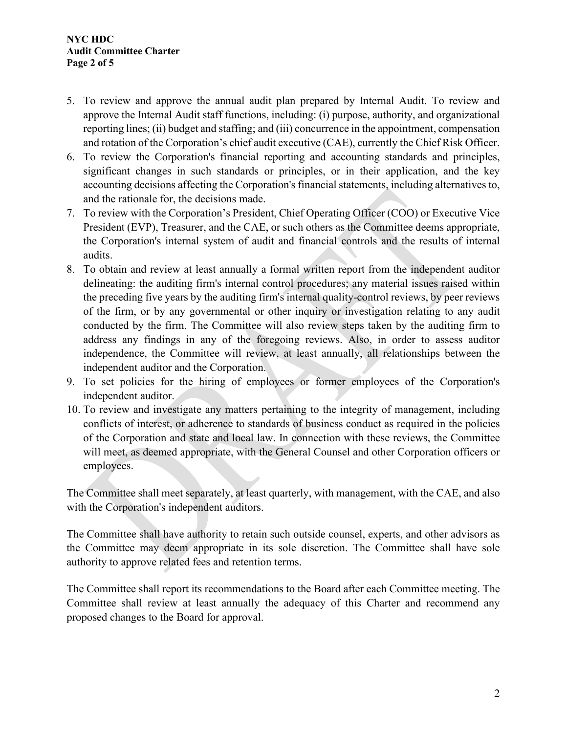- 5. To review and approve the annual audit plan prepared by Internal Audit. To review and approve the Internal Audit staff functions, including: (i) purpose, authority, and organizational reporting lines; (ii) budget and staffing; and (iii) concurrence in the appointment, compensation and rotation of the Corporation's chief audit executive (CAE), currently the Chief Risk Officer.
- 6. To review the Corporation's financial reporting and accounting standards and principles, significant changes in such standards or principles, or in their application, and the key accounting decisions affecting the Corporation's financial statements, including alternatives to, and the rationale for, the decisions made.
- 7. To review with the Corporation's President, Chief Operating Officer (COO) or Executive Vice President (EVP), Treasurer, and the CAE, or such others as the Committee deems appropriate, the Corporation's internal system of audit and financial controls and the results of internal audits.
- 8. To obtain and review at least annually a formal written report from the independent auditor delineating: the auditing firm's internal control procedures; any material issues raised within the preceding five years by the auditing firm's internal quality-control reviews, by peer reviews of the firm, or by any governmental or other inquiry or investigation relating to any audit conducted by the firm. The Committee will also review steps taken by the auditing firm to address any findings in any of the foregoing reviews. Also, in order to assess auditor independence, the Committee will review, at least annually, all relationships between the independent auditor and the Corporation.
- 9. To set policies for the hiring of employees or former employees of the Corporation's independent auditor.
- 10. To review and investigate any matters pertaining to the integrity of management, including conflicts of interest, or adherence to standards of business conduct as required in the policies of the Corporation and state and local law. In connection with these reviews, the Committee will meet, as deemed appropriate, with the General Counsel and other Corporation officers or employees.

The Committee shall meet separately, at least quarterly, with management, with the CAE, and also with the Corporation's independent auditors.

The Committee shall have authority to retain such outside counsel, experts, and other advisors as the Committee may deem appropriate in its sole discretion. The Committee shall have sole authority to approve related fees and retention terms.

The Committee shall report its recommendations to the Board after each Committee meeting. The Committee shall review at least annually the adequacy of this Charter and recommend any proposed changes to the Board for approval.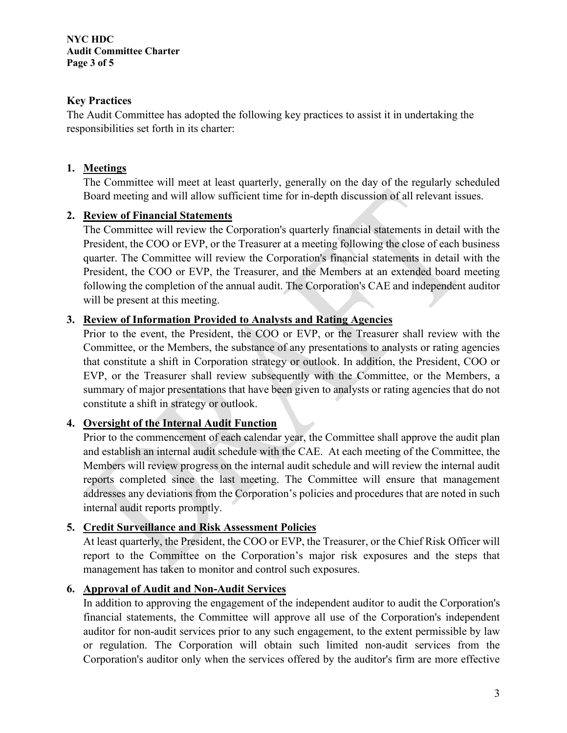### **Key Practices**

The Audit Committee has adopted the following key practices to assist it in undertaking the responsibilities set forth in its charter:

## **1. Meetings**

The Committee will meet at least quarterly, generally on the day of the regularly scheduled Board meeting and will allow sufficient time for in-depth discussion of all relevant issues.

## **2. Review of Financial Statements**

The Committee will review the Corporation's quarterly financial statements in detail with the President, the COO or EVP, or the Treasurer at a meeting following the close of each business quarter. The Committee will review the Corporation's financial statements in detail with the President, the COO or EVP, the Treasurer, and the Members at an extended board meeting following the completion of the annual audit. The Corporation's CAE and independent auditor will be present at this meeting.

## **3. Review of Information Provided to Analysts and Rating Agencies**

Prior to the event, the President, the COO or EVP, or the Treasurer shall review with the Committee, or the Members, the substance of any presentations to analysts or rating agencies that constitute a shift in Corporation strategy or outlook. In addition, the President, COO or EVP, or the Treasurer shall review subsequently with the Committee, or the Members, a summary of major presentations that have been given to analysts or rating agencies that do not constitute a shift in strategy or outlook.

# **4. Oversight of the Internal Audit Function**

Prior to the commencement of each calendar year, the Committee shall approve the audit plan and establish an internal audit schedule with the CAE. At each meeting of the Committee, the Members will review progress on the internal audit schedule and will review the internal audit reports completed since the last meeting. The Committee will ensure that management addresses any deviations from the Corporation's policies and procedures that are noted in such internal audit reports promptly.

### **5. Credit Surveillance and Risk Assessment Policies**

At least quarterly, the President, the COO or EVP, the Treasurer, or the Chief Risk Officer will report to the Committee on the Corporation's major risk exposures and the steps that management has taken to monitor and control such exposures.

### **6. Approval of Audit and Non-Audit Services**

In addition to approving the engagement of the independent auditor to audit the Corporation's financial statements, the Committee will approve all use of the Corporation's independent auditor for non-audit services prior to any such engagement, to the extent permissible by law or regulation. The Corporation will obtain such limited non-audit services from the Corporation's auditor only when the services offered by the auditor's firm are more effective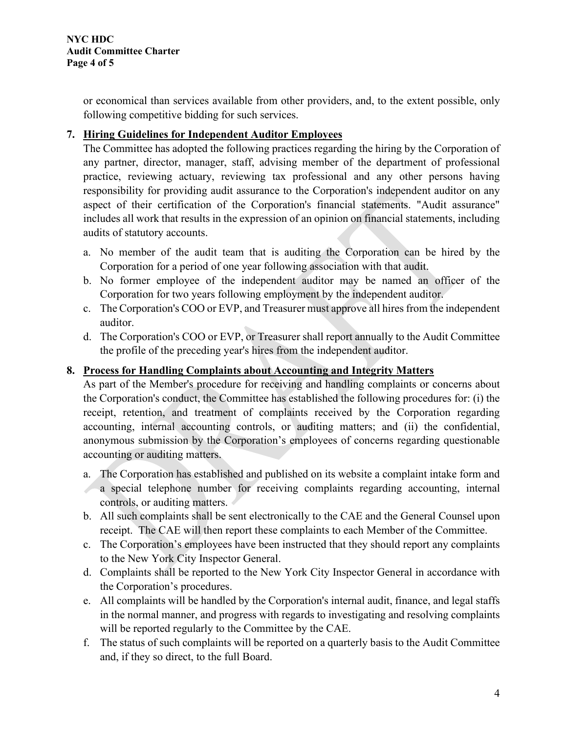or economical than services available from other providers, and, to the extent possible, only following competitive bidding for such services.

## **7. Hiring Guidelines for Independent Auditor Employees**

The Committee has adopted the following practices regarding the hiring by the Corporation of any partner, director, manager, staff, advising member of the department of professional practice, reviewing actuary, reviewing tax professional and any other persons having responsibility for providing audit assurance to the Corporation's independent auditor on any aspect of their certification of the Corporation's financial statements. "Audit assurance" includes all work that results in the expression of an opinion on financial statements, including audits of statutory accounts.

- a. No member of the audit team that is auditing the Corporation can be hired by the Corporation for a period of one year following association with that audit.
- b. No former employee of the independent auditor may be named an officer of the Corporation for two years following employment by the independent auditor.
- c. The Corporation's COO or EVP, and Treasurer must approve all hires from the independent auditor.
- d. The Corporation's COO or EVP, or Treasurer shall report annually to the Audit Committee the profile of the preceding year's hires from the independent auditor.

## **8. Process for Handling Complaints about Accounting and Integrity Matters**

As part of the Member's procedure for receiving and handling complaints or concerns about the Corporation's conduct, the Committee has established the following procedures for: (i) the receipt, retention, and treatment of complaints received by the Corporation regarding accounting, internal accounting controls, or auditing matters; and (ii) the confidential, anonymous submission by the Corporation's employees of concerns regarding questionable accounting or auditing matters.

- a. The Corporation has established and published on its website a complaint intake form and a special telephone number for receiving complaints regarding accounting, internal controls, or auditing matters.
- b. All such complaints shall be sent electronically to the CAE and the General Counsel upon receipt. The CAE will then report these complaints to each Member of the Committee.
- c. The Corporation's employees have been instructed that they should report any complaints to the New York City Inspector General.
- d. Complaints shall be reported to the New York City Inspector General in accordance with the Corporation's procedures.
- e. All complaints will be handled by the Corporation's internal audit, finance, and legal staffs in the normal manner, and progress with regards to investigating and resolving complaints will be reported regularly to the Committee by the CAE.
- f. The status of such complaints will be reported on a quarterly basis to the Audit Committee and, if they so direct, to the full Board.